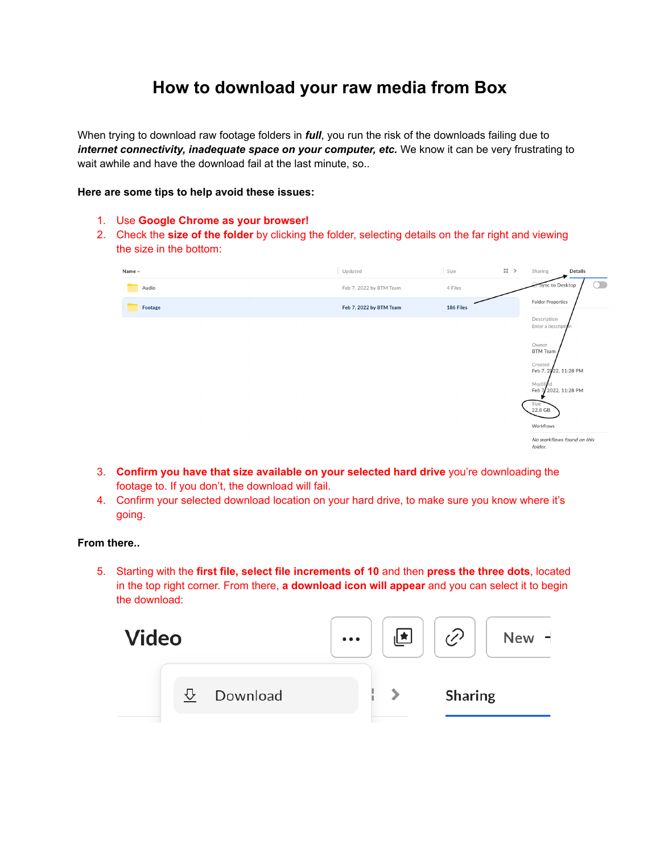## **How to download your raw media from Box**

When trying to download raw footage folders in *full*, you run the risk of the downloads failing due to *internet connectivity, inadequate space on your computer, etc.* We know it can be very frustrating to wait awhile and have the download fail at the last minute, so..

## **Here are some tips to help avoid these issues:**

- 1. Use **Google Chrome as your browser!**
- 2. Check the **size of the folder** by clicking the folder, selecting details on the far right and viewing the size in the bottom:

| Name $\sim$ | Updated                 | Size      | $\left\vert \cdot\right\vert \rightarrow$ | Sharing<br>Details                                                                                                                                                                                              |
|-------------|-------------------------|-----------|-------------------------------------------|-----------------------------------------------------------------------------------------------------------------------------------------------------------------------------------------------------------------|
| Audio       | Feb 7, 2022 by BTM Team | 4 Files   |                                           | $\bigcirc$<br>Sync to Desktop                                                                                                                                                                                   |
| Footage     | Feb 7, 2022 by BTM Team | 186 Files |                                           | <b>Folder Properties</b>                                                                                                                                                                                        |
|             |                         |           |                                           | Description<br>Enter a description<br>Owner<br><b>BTM Team</b><br>Created<br>Feb 7, 2022, 11:28 PM<br>Modified<br>Feb 7 2022, 11:28 PM<br>Size<br>22.8 GB<br>Workflows<br>No workflows found on this<br>folder. |

- 3. **Confirm you have that size available on your selected hard drive** you're downloading the footage to. If you don't, the download will fail.
- 4. Confirm your selected download location on your hard drive, to make sure you know where it's going.

## **From there..**

5. Starting with the **first file, select file increments of 10** and then **press the three dots**, located in the top right corner. From there, **a download icon will appear** and you can select it to begin the download: